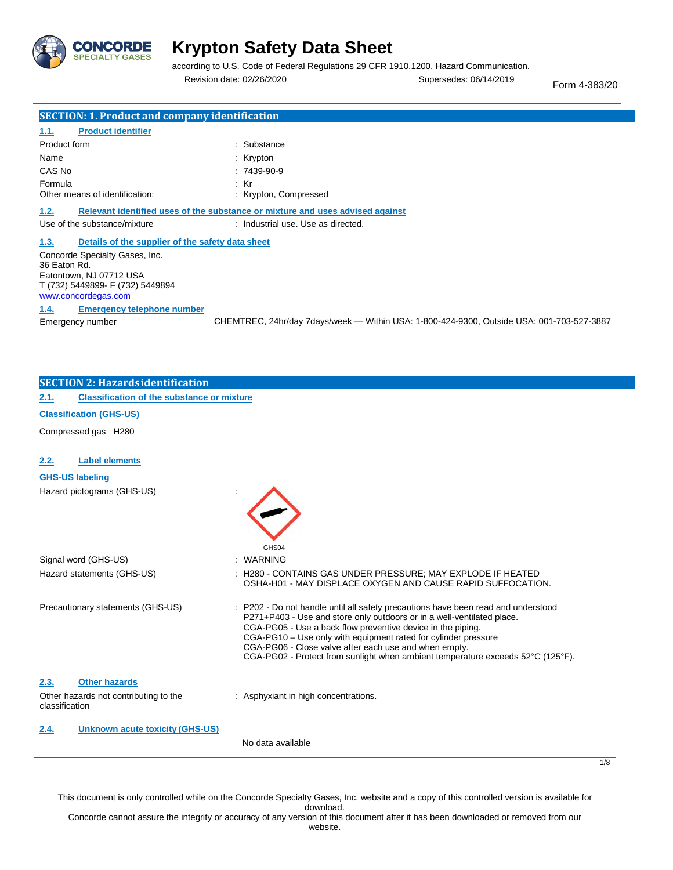

according to U.S. Code of Federal Regulations 29 CFR 1910.1200, Hazard Communication. Revision date: 02/26/2020 Supersedes: 06/14/2019 Form 4-383/20

1/8

| <b>SECTION: 1. Product and company identification</b>                                                                                |                                                                                           |  |  |
|--------------------------------------------------------------------------------------------------------------------------------------|-------------------------------------------------------------------------------------------|--|--|
| <b>Product identifier</b><br>1.1.                                                                                                    |                                                                                           |  |  |
| Product form                                                                                                                         | : Substance                                                                               |  |  |
| Name                                                                                                                                 | : $Krypton$                                                                               |  |  |
| CAS No                                                                                                                               | $:7439-90-9$                                                                              |  |  |
| Formula                                                                                                                              | $:$ Kr                                                                                    |  |  |
| Other means of identification:                                                                                                       | : Krypton, Compressed                                                                     |  |  |
| 1.2.                                                                                                                                 | Relevant identified uses of the substance or mixture and uses advised against             |  |  |
| Use of the substance/mixture                                                                                                         | : Industrial use, Use as directed.                                                        |  |  |
| 1.3.                                                                                                                                 | Details of the supplier of the safety data sheet                                          |  |  |
| Concorde Specialty Gases, Inc.<br>36 Eaton Rd.<br>Eatontown, NJ 07712 USA<br>T (732) 5449899- F (732) 5449894<br>www.concordegas.com |                                                                                           |  |  |
| <b>Emergency telephone number</b><br>1.4.                                                                                            |                                                                                           |  |  |
| Emergency number                                                                                                                     | CHEMTREC, 24hr/day 7days/week - Within USA: 1-800-424-9300, Outside USA: 001-703-527-3887 |  |  |
|                                                                                                                                      |                                                                                           |  |  |
|                                                                                                                                      |                                                                                           |  |  |
| <b>SECTION 2: Hazardsidentification</b>                                                                                              |                                                                                           |  |  |

**2.1. Classification of the substance or mixture**

### **Classification (GHS-US)**

Compressed gas H280

| 2.2.           | <b>Label elements</b>                  |                                                                                                                                                                                                                                                                                                                                                                                                                                          |
|----------------|----------------------------------------|------------------------------------------------------------------------------------------------------------------------------------------------------------------------------------------------------------------------------------------------------------------------------------------------------------------------------------------------------------------------------------------------------------------------------------------|
|                | <b>GHS-US labeling</b>                 |                                                                                                                                                                                                                                                                                                                                                                                                                                          |
|                | Hazard pictograms (GHS-US)             |                                                                                                                                                                                                                                                                                                                                                                                                                                          |
|                | Signal word (GHS-US)                   | GHS04<br><b>WARNING</b>                                                                                                                                                                                                                                                                                                                                                                                                                  |
|                | Hazard statements (GHS-US)             | : H280 - CONTAINS GAS UNDER PRESSURE; MAY EXPLODE IF HEATED<br>OSHA-H01 - MAY DISPLACE OXYGEN AND CAUSE RAPID SUFFOCATION.                                                                                                                                                                                                                                                                                                               |
|                | Precautionary statements (GHS-US)      | : P202 - Do not handle until all safety precautions have been read and understood<br>P271+P403 - Use and store only outdoors or in a well-ventilated place.<br>CGA-PG05 - Use a back flow preventive device in the piping.<br>CGA-PG10 – Use only with equipment rated for cylinder pressure<br>CGA-PG06 - Close valve after each use and when empty.<br>CGA-PG02 - Protect from sunlight when ambient temperature exceeds 52°C (125°F). |
| 2.3.           | <b>Other hazards</b>                   |                                                                                                                                                                                                                                                                                                                                                                                                                                          |
| classification | Other hazards not contributing to the  | : Asphyxiant in high concentrations.                                                                                                                                                                                                                                                                                                                                                                                                     |
| 2.4.           | <b>Unknown acute toxicity (GHS-US)</b> | No data available                                                                                                                                                                                                                                                                                                                                                                                                                        |

This document is only controlled while on the Concorde Specialty Gases, Inc. website and a copy of this controlled version is available for download.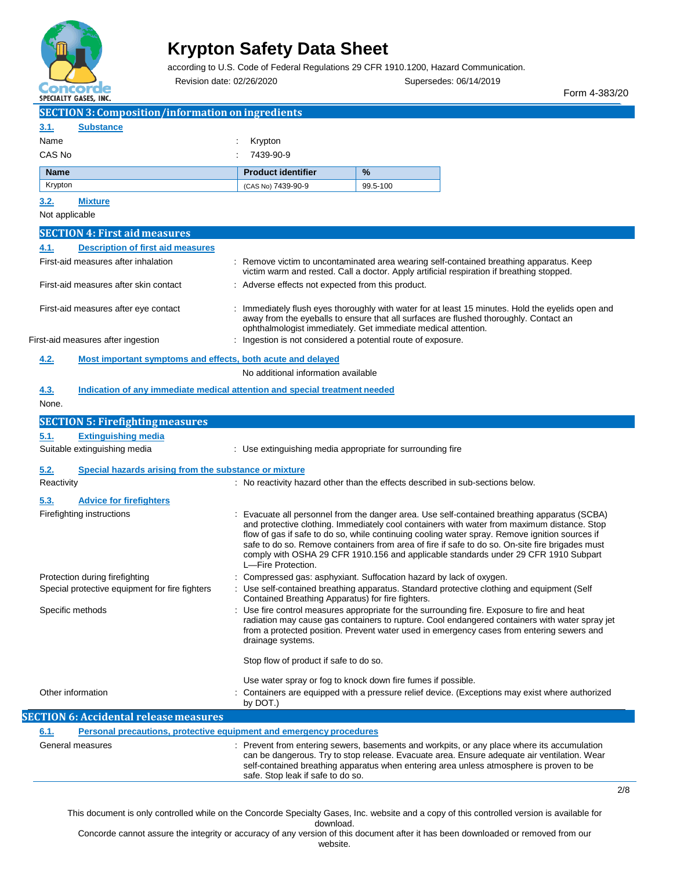

according to U.S. Code of Federal Regulations 29 CFR 1910.1200, Hazard Communication.

Revision date: 02/26/2020 Supersedes: 06/14/2019

Form 4-383/20

2/8

| JELIALI I VAJEJ, INL.                                                              |                                                              |                                                                                                                                                                                                                                                                                                                                                                                                                                                                                         |
|------------------------------------------------------------------------------------|--------------------------------------------------------------|-----------------------------------------------------------------------------------------------------------------------------------------------------------------------------------------------------------------------------------------------------------------------------------------------------------------------------------------------------------------------------------------------------------------------------------------------------------------------------------------|
| <b>SECTION 3: Composition/information on ingredients</b>                           |                                                              |                                                                                                                                                                                                                                                                                                                                                                                                                                                                                         |
| 3.1.<br><b>Substance</b>                                                           |                                                              |                                                                                                                                                                                                                                                                                                                                                                                                                                                                                         |
| Name                                                                               | Krypton                                                      |                                                                                                                                                                                                                                                                                                                                                                                                                                                                                         |
| CAS No                                                                             | 7439-90-9                                                    |                                                                                                                                                                                                                                                                                                                                                                                                                                                                                         |
| <b>Name</b>                                                                        | <b>Product identifier</b>                                    | $\%$                                                                                                                                                                                                                                                                                                                                                                                                                                                                                    |
| Krypton                                                                            | (CAS No) 7439-90-9                                           | 99.5-100                                                                                                                                                                                                                                                                                                                                                                                                                                                                                |
| 3.2.<br><b>Mixture</b>                                                             |                                                              |                                                                                                                                                                                                                                                                                                                                                                                                                                                                                         |
| Not applicable                                                                     |                                                              |                                                                                                                                                                                                                                                                                                                                                                                                                                                                                         |
|                                                                                    |                                                              |                                                                                                                                                                                                                                                                                                                                                                                                                                                                                         |
| <b>SECTION 4: First aid measures</b>                                               |                                                              |                                                                                                                                                                                                                                                                                                                                                                                                                                                                                         |
| 4.1.<br><b>Description of first aid measures</b>                                   |                                                              |                                                                                                                                                                                                                                                                                                                                                                                                                                                                                         |
| First-aid measures after inhalation                                                |                                                              | : Remove victim to uncontaminated area wearing self-contained breathing apparatus. Keep<br>victim warm and rested. Call a doctor. Apply artificial respiration if breathing stopped.                                                                                                                                                                                                                                                                                                    |
| First-aid measures after skin contact                                              | : Adverse effects not expected from this product.            |                                                                                                                                                                                                                                                                                                                                                                                                                                                                                         |
| First-aid measures after eye contact                                               |                                                              | : Immediately flush eyes thoroughly with water for at least 15 minutes. Hold the eyelids open and<br>away from the eyeballs to ensure that all surfaces are flushed thoroughly. Contact an<br>ophthalmologist immediately. Get immediate medical attention.                                                                                                                                                                                                                             |
| First-aid measures after ingestion                                                 | : Ingestion is not considered a potential route of exposure. |                                                                                                                                                                                                                                                                                                                                                                                                                                                                                         |
| Most important symptoms and effects, both acute and delayed<br><u>4.2.</u>         |                                                              |                                                                                                                                                                                                                                                                                                                                                                                                                                                                                         |
|                                                                                    | No additional information available                          |                                                                                                                                                                                                                                                                                                                                                                                                                                                                                         |
| Indication of any immediate medical attention and special treatment needed<br>4.3. |                                                              |                                                                                                                                                                                                                                                                                                                                                                                                                                                                                         |
| None.                                                                              |                                                              |                                                                                                                                                                                                                                                                                                                                                                                                                                                                                         |
| <b>SECTION 5: Firefighting measures</b>                                            |                                                              |                                                                                                                                                                                                                                                                                                                                                                                                                                                                                         |
| <b>Extinguishing media</b><br>5.1.                                                 |                                                              |                                                                                                                                                                                                                                                                                                                                                                                                                                                                                         |
| Suitable extinguishing media                                                       | : Use extinguishing media appropriate for surrounding fire   |                                                                                                                                                                                                                                                                                                                                                                                                                                                                                         |
|                                                                                    |                                                              |                                                                                                                                                                                                                                                                                                                                                                                                                                                                                         |
| 5.2.<br>Special hazards arising from the substance or mixture                      |                                                              |                                                                                                                                                                                                                                                                                                                                                                                                                                                                                         |
| Reactivity                                                                         |                                                              | : No reactivity hazard other than the effects described in sub-sections below.                                                                                                                                                                                                                                                                                                                                                                                                          |
| 5.3.<br><b>Advice for firefighters</b>                                             |                                                              |                                                                                                                                                                                                                                                                                                                                                                                                                                                                                         |
| Firefighting instructions                                                          | L-Fire Protection.                                           | : Evacuate all personnel from the danger area. Use self-contained breathing apparatus (SCBA)<br>and protective clothing. Immediately cool containers with water from maximum distance. Stop<br>flow of gas if safe to do so, while continuing cooling water spray. Remove ignition sources if<br>safe to do so. Remove containers from area of fire if safe to do so. On-site fire brigades must<br>comply with OSHA 29 CFR 1910.156 and applicable standards under 29 CFR 1910 Subpart |
| Protection during firefighting                                                     |                                                              | Compressed gas: asphyxiant. Suffocation hazard by lack of oxygen.                                                                                                                                                                                                                                                                                                                                                                                                                       |
| Special protective equipment for fire fighters                                     | Contained Breathing Apparatus) for fire fighters.            | Use self-contained breathing apparatus. Standard protective clothing and equipment (Self                                                                                                                                                                                                                                                                                                                                                                                                |
| Specific methods                                                                   | drainage systems.                                            | Use fire control measures appropriate for the surrounding fire. Exposure to fire and heat<br>radiation may cause gas containers to rupture. Cool endangered containers with water spray jet<br>from a protected position. Prevent water used in emergency cases from entering sewers and                                                                                                                                                                                                |
|                                                                                    | Stop flow of product if safe to do so.                       |                                                                                                                                                                                                                                                                                                                                                                                                                                                                                         |
|                                                                                    |                                                              | Use water spray or fog to knock down fire fumes if possible.                                                                                                                                                                                                                                                                                                                                                                                                                            |
| Other information                                                                  | by DOT.)                                                     | Containers are equipped with a pressure relief device. (Exceptions may exist where authorized                                                                                                                                                                                                                                                                                                                                                                                           |
| <b>SECTION 6: Accidental release measures</b>                                      |                                                              |                                                                                                                                                                                                                                                                                                                                                                                                                                                                                         |
| 6.1.<br><b>Personal precautions, protective equipment and emergency procedures</b> |                                                              |                                                                                                                                                                                                                                                                                                                                                                                                                                                                                         |
| General measures                                                                   |                                                              | Prevent from entering sewers, basements and workpits, or any place where its accumulation                                                                                                                                                                                                                                                                                                                                                                                               |
|                                                                                    | safe. Stop leak if safe to do so.                            | can be dangerous. Try to stop release. Evacuate area. Ensure adequate air ventilation. Wear<br>self-contained breathing apparatus when entering area unless atmosphere is proven to be                                                                                                                                                                                                                                                                                                  |

This document is only controlled while on the Concorde Specialty Gases, Inc. website and a copy of this controlled version is available for download.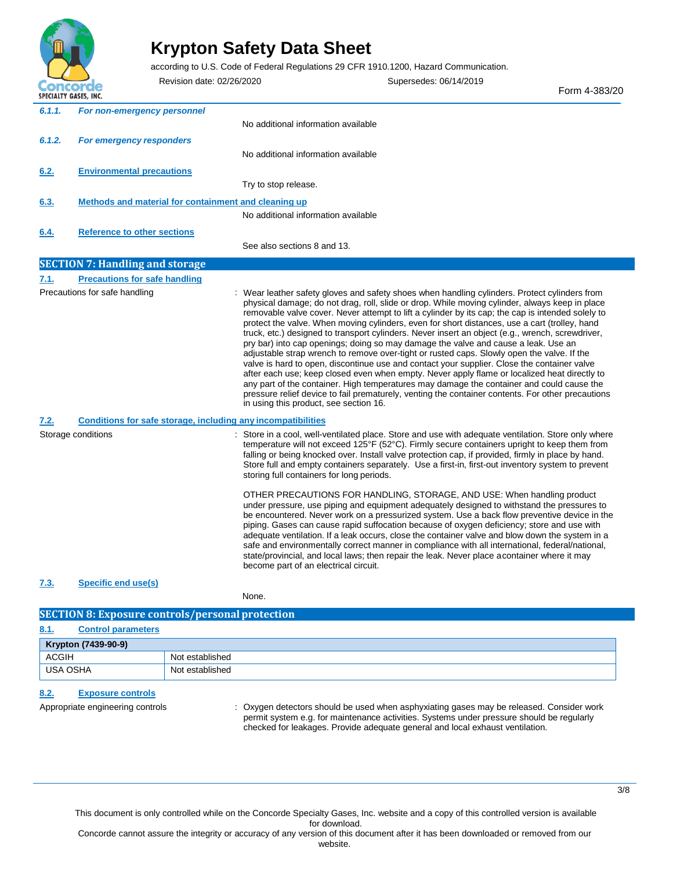

according to U.S. Code of Federal Regulations 29 CFR 1910.1200, Hazard Communication.

Revision date: 02/26/2020 Supersedes: 06/14/2019 Form 4-383/20 *6.1.1. For non-emergency personnel 6.1.2. For emergency responders* **6.2. Environmental precautions** No additional information available No additional information available Try to stop release. **6.3. Methods and material for containment and cleaning up** No additional information available **6.4. Reference to other sections** See also sections 8 and 13. **SECTION 7: Handling and storage 7.1. Precautions for safe handling** Precautions for safe handling **interpret on the same of the safety gloves** and safety shoes when handling cylinders. Protect cylinders from physical damage; do not drag, roll, slide or drop. While moving cylinder, always keep in place removable valve cover. Never attempt to lift a cylinder by its cap; the cap is intended solely to protect the valve. When moving cylinders, even for short distances, use a cart (trolley, hand truck, etc.) designed to transport cylinders. Never insert an object (e.g., wrench, screwdriver, pry bar) into cap openings; doing so may damage the valve and cause a leak. Use an adjustable strap wrench to remove over-tight or rusted caps. Slowly open the valve. If the valve is hard to open, discontinue use and contact your supplier. Close the container valve after each use; keep closed even when empty. Never apply flame or localized heat directly to any part of the container. High temperatures may damage the container and could cause the pressure relief device to fail prematurely, venting the container contents. For other precautions in using this product, see section 16. **7.2. Conditions for safe storage, including any incompatibilities** Storage conditions **Store in a cool, well-ventilated place.** Store and use with adequate ventilation. Store only where temperature will not exceed 125°F (52°C). Firmly secure containers upright to keep them from falling or being knocked over. Install valve protection cap, if provided, firmly in place by hand. Store full and empty containers separately. Use a first-in, first-out inventory system to prevent storing full containers for long periods. OTHER PRECAUTIONS FOR HANDLING, STORAGE, AND USE: When handling product under pressure, use piping and equipment adequately designed to withstand the pressures to be encountered. Never work on a pressurized system. Use a back flow preventive device in the piping. Gases can cause rapid suffocation because of oxygen deficiency; store and use with adequate ventilation. If a leak occurs, close the container valve and blow down the system in a safe and environmentally correct manner in compliance with all international, federal/national, state/provincial, and local laws; then repair the leak. Never place acontainer where it may become part of an electrical circuit. **7.3. Specific end use(s)** None.

### **SECTION 8: Exposure controls/personal protection**

| 8.1.         | <b>Control parameters</b> |                 |
|--------------|---------------------------|-----------------|
|              | Krypton (7439-90-9)       |                 |
| <b>ACGIH</b> |                           | Not established |
| USA OSHA     |                           | Not established |

### **8.2. Exposure controls**

Appropriate engineering controls **inclusively** : Oxygen detectors should be used when asphyxiating gases may be released. Consider work permit system e.g. for maintenance activities. Systems under pressure should be regularly checked for leakages. Provide adequate general and local exhaust ventilation.

This document is only controlled while on the Concorde Specialty Gases, Inc. website and a copy of this controlled version is available for download.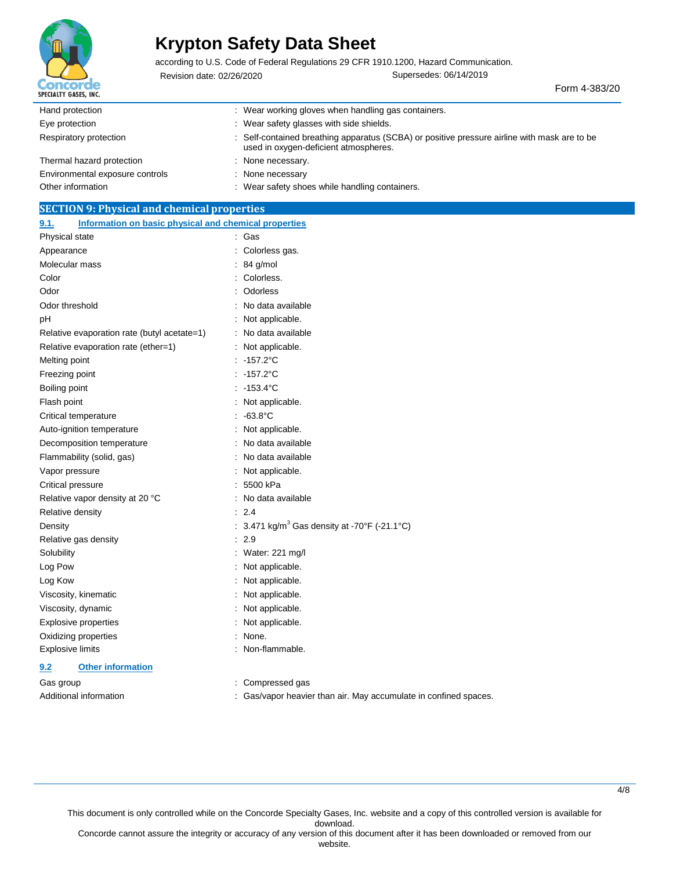

according to U.S. Code of Federal Regulations 29 CFR 1910.1200, Hazard Communication.

Revision date: 02/26/2020 Supersedes: 06/14/2019

Form 4-383/20

| Hand protection                 | Wear working gloves when handling gas containers.                                                                                     |
|---------------------------------|---------------------------------------------------------------------------------------------------------------------------------------|
| Eye protection                  | : Wear safety glasses with side shields.                                                                                              |
| Respiratory protection          | : Self-contained breathing apparatus (SCBA) or positive pressure airline with mask are to be<br>used in oxygen-deficient atmospheres. |
| Thermal hazard protection       | None necessary.                                                                                                                       |
| Environmental exposure controls | : None necessary                                                                                                                      |
| Other information               | : Wear safety shoes while handling containers.                                                                                        |

### **SECTION 9: Physical and chemical properties**

| Information on basic physical and chemical properties<br>9.1. |                                                          |
|---------------------------------------------------------------|----------------------------------------------------------|
| Physical state                                                | Gas                                                      |
| Appearance                                                    | Colorless gas.                                           |
| Molecular mass                                                | 84 g/mol                                                 |
| Color                                                         | Colorless.                                               |
| Odor                                                          | Odorless                                                 |
| Odor threshold                                                | No data available                                        |
| pH                                                            | Not applicable.                                          |
| Relative evaporation rate (butyl acetate=1)                   | No data available                                        |
| Relative evaporation rate (ether=1)                           | Not applicable.                                          |
| Melting point                                                 | $-157.2^{\circ}$ C                                       |
| Freezing point                                                | $-157.2^{\circ}$ C                                       |
| Boiling point                                                 | $-153.4^{\circ}$ C                                       |
| Flash point                                                   | Not applicable.                                          |
| Critical temperature                                          | $-63.8^{\circ}$ C                                        |
| Auto-ignition temperature                                     | Not applicable.                                          |
| Decomposition temperature                                     | No data available                                        |
| Flammability (solid, gas)                                     | No data available                                        |
| Vapor pressure                                                | Not applicable.                                          |
| Critical pressure                                             | 5500 kPa                                                 |
| Relative vapor density at 20 °C                               | No data available                                        |
| Relative density                                              | 2.4                                                      |
| Density                                                       | : 3.471 kg/m <sup>3</sup> Gas density at -70°F (-21.1°C) |
| Relative gas density                                          | 2.9                                                      |
| Solubility                                                    | Water: 221 mg/l                                          |
| Log Pow                                                       | Not applicable.                                          |
| Log Kow                                                       | Not applicable.                                          |
| Viscosity, kinematic                                          | Not applicable.                                          |
| Viscosity, dynamic                                            | Not applicable.                                          |
| <b>Explosive properties</b>                                   | Not applicable.                                          |
| Oxidizing properties                                          | None.                                                    |
| <b>Explosive limits</b>                                       | Non-flammable.                                           |
| <b>Other information</b><br>9.2                               |                                                          |

Gas group example and the compressed gas in the Compressed gas

Additional information **interval in the set of than air.** May accumulate in confined spaces.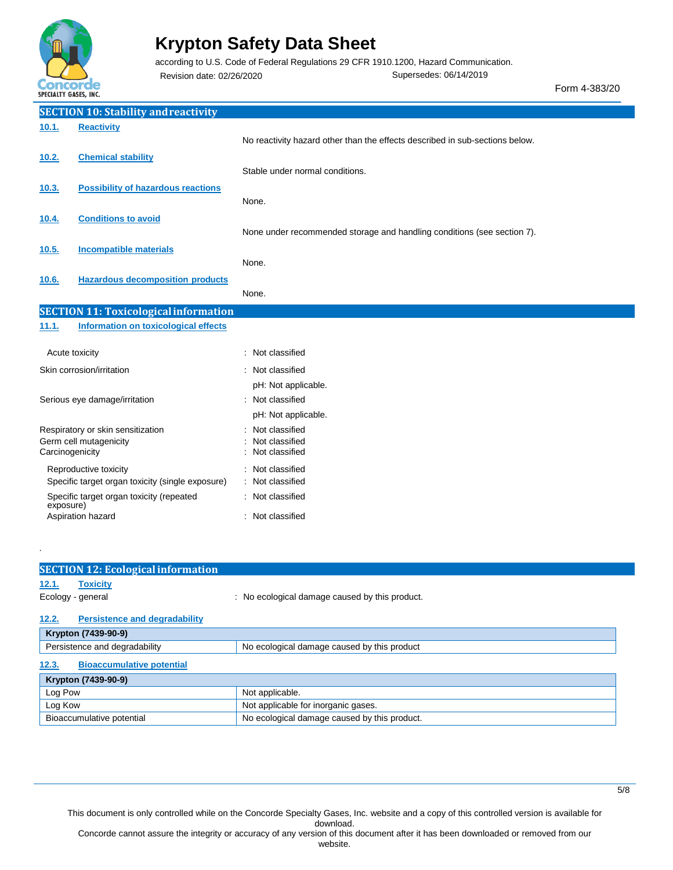

.

### **Krypton Safety Data Sheet**

according to U.S. Code of Federal Regulations 29 CFR 1910.1200, Hazard Communication.

Revision date: 02/26/2020 Supersedes: 06/14/2019

Form 4-383/20

|                                   | <b>SECTION 10: Stability and reactivity</b>      |                                                                              |
|-----------------------------------|--------------------------------------------------|------------------------------------------------------------------------------|
| 10.1.                             | <b>Reactivity</b>                                |                                                                              |
|                                   |                                                  | No reactivity hazard other than the effects described in sub-sections below. |
| 10.2.                             | <b>Chemical stability</b>                        | Stable under normal conditions.                                              |
| 10.3.                             | <b>Possibility of hazardous reactions</b>        |                                                                              |
|                                   |                                                  | None.                                                                        |
| 10.4.                             | <b>Conditions to avoid</b>                       |                                                                              |
|                                   |                                                  | None under recommended storage and handling conditions (see section 7).      |
| 10.5.                             | <b>Incompatible materials</b>                    | None.                                                                        |
| 10.6.                             | <b>Hazardous decomposition products</b>          |                                                                              |
|                                   |                                                  | None.                                                                        |
|                                   | <b>SECTION 11: Toxicological information</b>     |                                                                              |
| 11.1.                             | Information on toxicological effects             |                                                                              |
| Acute toxicity                    |                                                  | : Not classified                                                             |
| Skin corrosion/irritation         |                                                  | : Not classified                                                             |
|                                   |                                                  | pH: Not applicable.                                                          |
| Serious eye damage/irritation     |                                                  | : Not classified                                                             |
|                                   |                                                  | pH: Not applicable.                                                          |
| Respiratory or skin sensitization |                                                  | Not classified                                                               |
| Carcinogenicity                   | Germ cell mutagenicity                           | Not classified<br>Not classified                                             |
|                                   | Reproductive toxicity                            | Not classified                                                               |
|                                   | Specific target organ toxicity (single exposure) | Not classified                                                               |
| exposure)                         | Specific target organ toxicity (repeated         | Not classified                                                               |
| Aspiration hazard                 |                                                  | : Not classified                                                             |

| <b>SECTION 12: Ecological information</b>     |                                                |
|-----------------------------------------------|------------------------------------------------|
| <b>Toxicity</b><br>12.1.                      |                                                |
| Ecology - general                             | : No ecological damage caused by this product. |
| <b>Persistence and degradability</b><br>12.2. |                                                |
| Krypton (7439-90-9)                           |                                                |
| Persistence and degradability                 | No ecological damage caused by this product    |
| <b>Bioaccumulative potential</b><br>12.3.     |                                                |
| Krypton (7439-90-9)                           |                                                |
| Log Pow                                       | Not applicable.                                |
| Log Kow                                       | Not applicable for inorganic gases.            |
| Bioaccumulative potential                     | No ecological damage caused by this product.   |

This document is only controlled while on the Concorde Specialty Gases, Inc. website and a copy of this controlled version is available for download.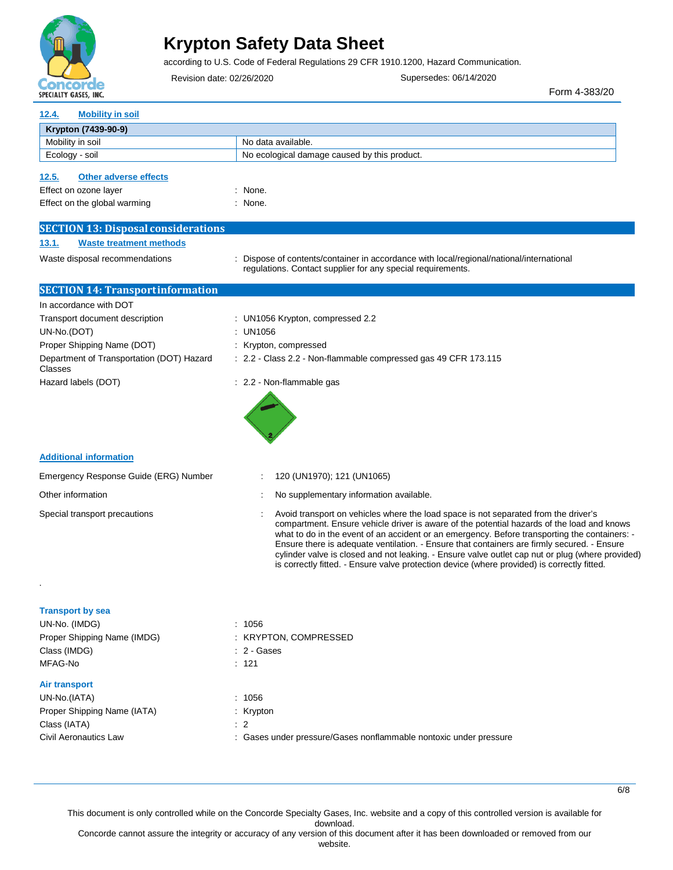

according to U.S. Code of Federal Regulations 29 CFR 1910.1200, Hazard Communication.

Revision date: 02/26/2020 Supersedes: 06/14/2020

Form 4-383/20

6/8

| <b>Mobility in soil</b><br>12.4.                                                               |                                                                                                                                                                                                                                                                                                                                                                                                                                                                                                                                                                                      |
|------------------------------------------------------------------------------------------------|--------------------------------------------------------------------------------------------------------------------------------------------------------------------------------------------------------------------------------------------------------------------------------------------------------------------------------------------------------------------------------------------------------------------------------------------------------------------------------------------------------------------------------------------------------------------------------------|
| Krypton (7439-90-9)                                                                            |                                                                                                                                                                                                                                                                                                                                                                                                                                                                                                                                                                                      |
| Mobility in soil                                                                               | No data available.                                                                                                                                                                                                                                                                                                                                                                                                                                                                                                                                                                   |
| Ecology - soil                                                                                 | No ecological damage caused by this product.                                                                                                                                                                                                                                                                                                                                                                                                                                                                                                                                         |
| <b>Other adverse effects</b><br>12.5.<br>Effect on ozone layer<br>Effect on the global warming | : None.<br>: None.                                                                                                                                                                                                                                                                                                                                                                                                                                                                                                                                                                   |
|                                                                                                |                                                                                                                                                                                                                                                                                                                                                                                                                                                                                                                                                                                      |
| <b>SECTION 13: Disposal considerations</b>                                                     |                                                                                                                                                                                                                                                                                                                                                                                                                                                                                                                                                                                      |
| <b>Waste treatment methods</b><br>13.1.                                                        |                                                                                                                                                                                                                                                                                                                                                                                                                                                                                                                                                                                      |
| Waste disposal recommendations                                                                 | : Dispose of contents/container in accordance with local/regional/national/international<br>regulations. Contact supplier for any special requirements.                                                                                                                                                                                                                                                                                                                                                                                                                              |
| <b>SECTION 14: Transportinformation</b>                                                        |                                                                                                                                                                                                                                                                                                                                                                                                                                                                                                                                                                                      |
| In accordance with DOT                                                                         |                                                                                                                                                                                                                                                                                                                                                                                                                                                                                                                                                                                      |
| Transport document description                                                                 | : UN1056 Krypton, compressed 2.2                                                                                                                                                                                                                                                                                                                                                                                                                                                                                                                                                     |
| UN-No.(DOT)                                                                                    | : UN1056                                                                                                                                                                                                                                                                                                                                                                                                                                                                                                                                                                             |
| Proper Shipping Name (DOT)                                                                     | : Krypton, compressed                                                                                                                                                                                                                                                                                                                                                                                                                                                                                                                                                                |
| Department of Transportation (DOT) Hazard<br>Classes                                           | : 2.2 - Class 2.2 - Non-flammable compressed gas 49 CFR 173.115                                                                                                                                                                                                                                                                                                                                                                                                                                                                                                                      |
| Hazard labels (DOT)                                                                            | : 2.2 - Non-flammable gas                                                                                                                                                                                                                                                                                                                                                                                                                                                                                                                                                            |
|                                                                                                |                                                                                                                                                                                                                                                                                                                                                                                                                                                                                                                                                                                      |
| <b>Additional information</b>                                                                  |                                                                                                                                                                                                                                                                                                                                                                                                                                                                                                                                                                                      |
| Emergency Response Guide (ERG) Number                                                          | 120 (UN1970); 121 (UN1065)                                                                                                                                                                                                                                                                                                                                                                                                                                                                                                                                                           |
| Other information                                                                              | No supplementary information available.                                                                                                                                                                                                                                                                                                                                                                                                                                                                                                                                              |
| Special transport precautions                                                                  | Avoid transport on vehicles where the load space is not separated from the driver's<br>compartment. Ensure vehicle driver is aware of the potential hazards of the load and knows<br>what to do in the event of an accident or an emergency. Before transporting the containers: -<br>Ensure there is adequate ventilation. - Ensure that containers are firmly secured. - Ensure<br>cylinder valve is closed and not leaking. - Ensure valve outlet cap nut or plug (where provided)<br>is correctly fitted. - Ensure valve protection device (where provided) is correctly fitted. |
|                                                                                                |                                                                                                                                                                                                                                                                                                                                                                                                                                                                                                                                                                                      |
| <b>Transport by sea</b><br>UN-No. (IMDG)                                                       | : 1056                                                                                                                                                                                                                                                                                                                                                                                                                                                                                                                                                                               |
| Proper Shipping Name (IMDG)                                                                    | : KRYPTON, COMPRESSED                                                                                                                                                                                                                                                                                                                                                                                                                                                                                                                                                                |
| Class (IMDG)                                                                                   | : 2 - Gases                                                                                                                                                                                                                                                                                                                                                                                                                                                                                                                                                                          |
| MFAG-No                                                                                        | : 121                                                                                                                                                                                                                                                                                                                                                                                                                                                                                                                                                                                |
| <b>Air transport</b>                                                                           |                                                                                                                                                                                                                                                                                                                                                                                                                                                                                                                                                                                      |
| UN-No.(IATA)                                                                                   | : 1056                                                                                                                                                                                                                                                                                                                                                                                                                                                                                                                                                                               |
| Proper Shipping Name (IATA)                                                                    | : Krypton                                                                                                                                                                                                                                                                                                                                                                                                                                                                                                                                                                            |
| Class (IATA)<br>Civil Aeronautics Law                                                          | : 2<br>: Gases under pressure/Gases nonflammable nontoxic under pressure                                                                                                                                                                                                                                                                                                                                                                                                                                                                                                             |
|                                                                                                |                                                                                                                                                                                                                                                                                                                                                                                                                                                                                                                                                                                      |

This document is only controlled while on the Concorde Specialty Gases, Inc. website and a copy of this controlled version is available for

download.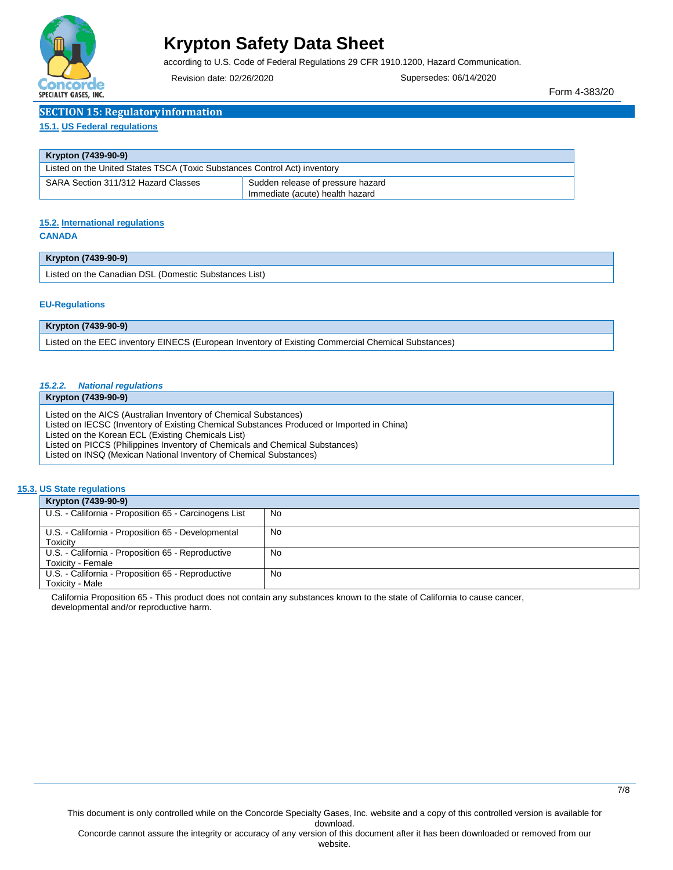

according to U.S. Code of Federal Regulations 29 CFR 1910.1200, Hazard Communication.

Revision date: 02/26/2020 Supersedes: 06/14/2020

Form 4-383/20

| <b>SECTION 15: Regulatory information</b> |
|-------------------------------------------|
|                                           |

#### **15.1. US Federal regulations**

| Krypton (7439-90-9)                                                       |                                                                      |  |  |
|---------------------------------------------------------------------------|----------------------------------------------------------------------|--|--|
| Listed on the United States TSCA (Toxic Substances Control Act) inventory |                                                                      |  |  |
| SARA Section 311/312 Hazard Classes                                       | Sudden release of pressure hazard<br>Immediate (acute) health hazard |  |  |

### **15.2. International regulations**

### **CANADA**

| Krypton (7439-90-9)                                     |  |
|---------------------------------------------------------|--|
| ' Listed on the Canadian DSL (Domestic Substances List) |  |

#### **EU-Regulations**

| Krypton (7439-90-9)                                                                                |
|----------------------------------------------------------------------------------------------------|
| Listed on the EEC inventory EINECS (European Inventory of Existing Commercial Chemical Substances) |

### *15.2.2. National regulations*

**Krypton (7439-90-9)**

Listed on the AICS (Australian Inventory of Chemical Substances)

Listed on IECSC (Inventory of Existing Chemical Substances Produced or Imported in China)

Listed on the Korean ECL (Existing Chemicals List)

Listed on PICCS (Philippines Inventory of Chemicals and Chemical Substances)

Listed on INSQ (Mexican National Inventory of Chemical Substances)

### **15.3. US State regulations**

| Krypton (7439-90-9)                                                    |    |
|------------------------------------------------------------------------|----|
| U.S. - California - Proposition 65 - Carcinogens List                  | No |
| U.S. - California - Proposition 65 - Developmental<br>Toxicity         | No |
| U.S. - California - Proposition 65 - Reproductive<br>Toxicity - Female | No |
| U.S. California - Proposition 65 - Reproductive<br>Toxicity - Male     | No |

California Proposition 65 - This product does not contain any substances known to the state of California to cause cancer, developmental and/or reproductive harm.